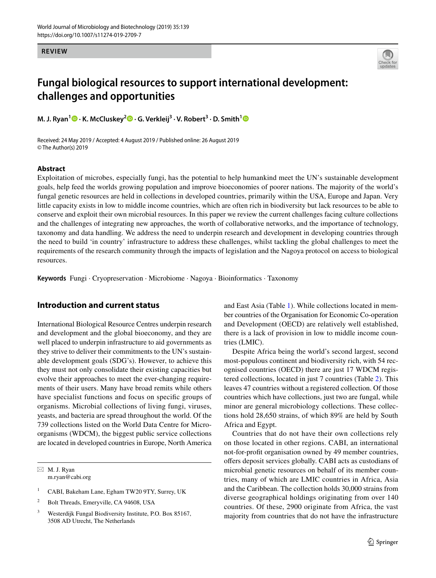

# **Fungal biological resources to support international development: challenges and opportunities**

**M. J. Ryan1 · K. McCluskey2  [·](http://orcid.org/0000-0001-7011-0465) G. Verkleij3 · V. Robert3 · D. Smith[1](https://orcid.org/0000-0003-1821-5141)**

Received: 24 May 2019 / Accepted: 4 August 2019 / Published online: 26 August 2019 © The Author(s) 2019

#### **Abstract**

Exploitation of microbes, especially fungi, has the potential to help humankind meet the UN's sustainable development goals, help feed the worlds growing population and improve bioeconomies of poorer nations. The majority of the world's fungal genetic resources are held in collections in developed countries, primarily within the USA, Europe and Japan. Very little capacity exists in low to middle income countries, which are often rich in biodiversity but lack resources to be able to conserve and exploit their own microbial resources. In this paper we review the current challenges facing culture collections and the challenges of integrating new approaches, the worth of collaborative networks, and the importance of technology, taxonomy and data handling. We address the need to underpin research and development in developing countries through the need to build 'in country' infrastructure to address these challenges, whilst tackling the global challenges to meet the requirements of the research community through the impacts of legislation and the Nagoya protocol on access to biological resources.

**Keywords** Fungi · Cryopreservation · Microbiome · Nagoya · Bioinformatics · Taxonomy

## **Introduction and current status**

International Biological Resource Centres underpin research and development and the global bioeconomy, and they are well placed to underpin infrastructure to aid governments as they strive to deliver their commitments to the UN's sustainable development goals (SDG's). However, to achieve this they must not only consolidate their existing capacities but evolve their approaches to meet the ever-changing requirements of their users. Many have broad remits while others have specialist functions and focus on specifc groups of organisms. Microbial collections of living fungi, viruses, yeasts, and bacteria are spread throughout the world. Of the 739 collections listed on the World Data Centre for Microorganisms (WDCM), the biggest public service collections are located in developed countries in Europe, North America

 $\boxtimes$  M. J. Ryan m.ryan@cabi.org

- <sup>1</sup> CABI, Bakeham Lane, Egham TW20 9TY, Surrey, UK
- <sup>2</sup> Bolt Threads, Emeryville, CA 94608, USA
- <sup>3</sup> Westerdijk Fungal Biodiversity Institute, P.O. Box 85167, 3508 AD Utrecht, The Netherlands

and East Asia (Table [1](#page-1-0)). While collections located in member countries of the Organisation for Economic Co-operation and Development (OECD) are relatively well established, there is a lack of provision in low to middle income countries (LMIC).

Despite Africa being the world's second largest, second most-populous continent and biodiversity rich, with 54 recognised countries (OECD) there are just 17 WDCM registered collections, located in just 7 countries (Table [2\)](#page-2-0). This leaves 47 countries without a registered collection. Of those countries which have collections, just two are fungal, while minor are general microbiology collections. These collections hold 28,650 strains, of which 89% are held by South Africa and Egypt.

Countries that do not have their own collections rely on those located in other regions. CABI, an international not-for-proft organisation owned by 49 member countries, offers deposit services globally. CABI acts as custodians of microbial genetic resources on behalf of its member countries, many of which are LMIC countries in Africa, Asia and the Caribbean. The collection holds 30,000 strains from diverse geographical holdings originating from over 140 countries. Of these, 2900 originate from Africa, the vast majority from countries that do not have the infrastructure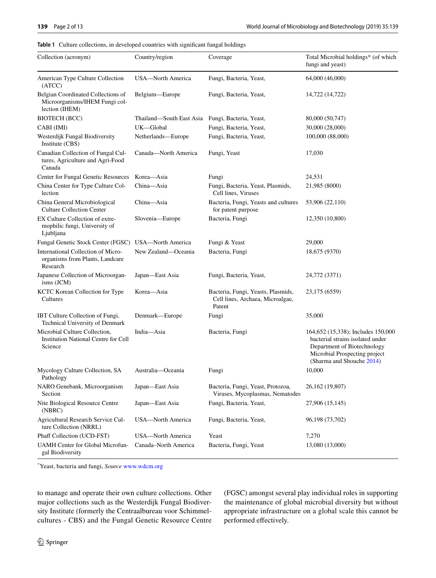<span id="page-1-0"></span>

| Table 1 Culture collections, in developed countries with significant fungal holdings |  |
|--------------------------------------------------------------------------------------|--|
|--------------------------------------------------------------------------------------|--|

| Collection (acronym)                                                                   | Country/region                                   | Coverage                                                                         | Total Microbial holdings* (of which<br>fungi and yeast)                                                                                                             |
|----------------------------------------------------------------------------------------|--------------------------------------------------|----------------------------------------------------------------------------------|---------------------------------------------------------------------------------------------------------------------------------------------------------------------|
| American Type Culture Collection<br>(ATCC)                                             | USA-North America                                | Fungi, Bacteria, Yeast,                                                          | 64,000 (46,000)                                                                                                                                                     |
| Belgian Coordinated Collections of<br>Microorganisms/IHEM Fungi col-<br>lection (IHEM) | Belgium-Europe                                   | Fungi, Bacteria, Yeast,                                                          | 14,722 (14,722)                                                                                                                                                     |
| <b>BIOTECH (BCC)</b>                                                                   | Thailand—South East Asia Fungi, Bacteria, Yeast, |                                                                                  | 80,000 (50,747)                                                                                                                                                     |
| CABI (IMI)                                                                             | UK-Global                                        | Fungi, Bacteria, Yeast,                                                          | 30,000 (28,000)                                                                                                                                                     |
| Westerdijk Fungal Biodiversity<br>Institute (CBS)                                      | Netherlands-Europe                               | Fungi, Bacteria, Yeast,                                                          | 100,000 (88,000)                                                                                                                                                    |
| Canadian Collection of Fungal Cul-<br>tures, Agriculture and Agri-Food<br>Canada       | Canada-North America                             | Fungi, Yeast                                                                     | 17,030                                                                                                                                                              |
| Center for Fungal Genetic Resources                                                    | Korea-Asia                                       | Fungi                                                                            | 24,531                                                                                                                                                              |
| China Center for Type Culture Col-<br>lection                                          | China-Asia                                       | Fungi, Bacteria, Yeast, Plasmids,<br>Cell lines, Viruses                         | 21,985 (8000)                                                                                                                                                       |
| China General Microbiological<br><b>Culture Collection Center</b>                      | China-Asia                                       | Bacteria, Fungi, Yeasts and cultures<br>for patent purpose                       | 53,906 (22,110)                                                                                                                                                     |
| EX Culture Collection of extre-<br>mophilic fungi, University of<br>Ljubljana          | Slovenia-Europe                                  | Bacteria, Fungi                                                                  | 12,350 (10,800)                                                                                                                                                     |
| Fungal Genetic Stock Center (FGSC) USA—North America                                   |                                                  | Fungi & Yeast                                                                    | 29,000                                                                                                                                                              |
| International Collection of Micro-<br>organisms from Plants, Landcare<br>Research      | New Zealand—Oceania                              | Bacteria, Fungi                                                                  | 18,675 (9370)                                                                                                                                                       |
| Japanese Collection of Microorgan-<br>isms (JCM)                                       | Japan-East Asia                                  | Fungi, Bacteria, Yeast,                                                          | 24,772 (3371)                                                                                                                                                       |
| KCTC Korean Collection for Type<br>Cultures                                            | Korea-Asia                                       | Bacteria, Fungi, Yeasts, Plasmids,<br>Cell lines, Archaea, Microalgae,<br>Patent | 23,175 (6559)                                                                                                                                                       |
| IBT Culture Collection of Fungi,<br>Technical University of Denmark                    | Denmark-Europe                                   | Fungi                                                                            | 35,000                                                                                                                                                              |
| Microbial Culture Collection,<br>Institution National Centre for Cell<br>Science       | India-Asia                                       | Bacteria, Fungi                                                                  | 164,652 (15,338); Includes 150,000<br>bacterial strains isolated under<br>Department of Biotechnology<br>Microbial Prospecting project<br>(Sharma and Shouche 2014) |
| Mycology Culture Collection, SA<br>Pathology                                           | Australia—Oceania                                | Fungi                                                                            | 10,000                                                                                                                                                              |
| NARO Genebank, Microorganism<br>Section                                                | Japan-East Asia                                  | Bacteria, Fungi, Yeast, Protozoa,<br>Viruses, Mycoplasmas, Nematodes             | 26,162 (19,807)                                                                                                                                                     |
| Nite Biological Resource Centre<br>(NBRC)                                              | Japan-East Asia                                  | Fungi, Bacteria, Yeast,                                                          | 27,906 (15,145)                                                                                                                                                     |
| Agricultural Research Service Cul-<br>ture Collection (NRRL)                           | USA-North America                                | Fungi, Bacteria, Yeast,                                                          | 96,198 (73,702)                                                                                                                                                     |
| Phaff Collection (UCD-FST)                                                             | USA-North America                                | Yeast                                                                            | 7,270                                                                                                                                                               |
| <b>UAMH Center for Global Microfun-</b><br>gal Biodiversity                            | Canada-North America                             | Bacteria, Fungi, Yeast                                                           | 13,080 (13,000)                                                                                                                                                     |

\* Yeast, bacteria and fungi, *Source* [www.wdcm.org](http://www.wdcm.org)

to manage and operate their own culture collections. Other major collections such as the Westerdijk Fungal Biodiversity Institute (formerly the Centraalbureau voor Schimmelcultures - CBS) and the Fungal Genetic Resource Centre (FGSC) amongst several play individual roles in supporting the maintenance of global microbial diversity but without appropriate infrastructure on a global scale this cannot be performed effectively.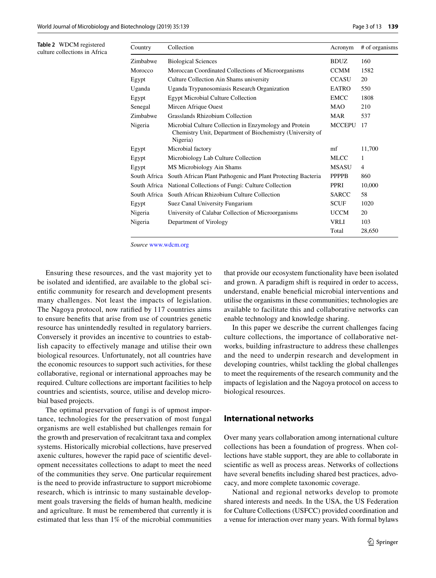<span id="page-2-0"></span>**Table 2** WDCM registered culture collections in Africa

| Country      | Collection                                                                                                                      | Acronym       | # of organisms |
|--------------|---------------------------------------------------------------------------------------------------------------------------------|---------------|----------------|
| Zimbabwe     | <b>Biological Sciences</b>                                                                                                      | <b>BDUZ</b>   | 160            |
| Morocco      | Moroccan Coordinated Collections of Microorganisms                                                                              | <b>CCMM</b>   | 1582           |
| Egypt        | Culture Collection Ain Shams university                                                                                         | <b>CCASU</b>  | 20             |
| Uganda       | Uganda Trypanosomiasis Research Organization                                                                                    | EATRO         | 550            |
| Egypt        | <b>Egypt Microbial Culture Collection</b>                                                                                       | <b>EMCC</b>   | 1808           |
| Senegal      | Mircen Afrique Ouest                                                                                                            | <b>MAO</b>    | 210            |
| Zimbabwe     | Grasslands Rhizobium Collection                                                                                                 | MAR           | 537            |
| Nigeria      | Microbial Culture Collection in Enzymology and Protein<br>Chemistry Unit, Department of Biochemistry (University of<br>Nigeria) | <b>MCCEPU</b> | 17             |
| Egypt        | Microbial factory                                                                                                               | mf            | 11,700         |
| Egypt        | Microbiology Lab Culture Collection                                                                                             | MLCC          | 1              |
| Egypt        | MS Microbiology Ain Shams                                                                                                       | MSASU         | 4              |
| South Africa | South African Plant Pathogenic and Plant Protecting Bacteria                                                                    | <b>PPPPB</b>  | 860            |
| South Africa | National Collections of Fungi: Culture Collection                                                                               | PPRI          | 10,000         |
| South Africa | South African Rhizobium Culture Collection                                                                                      | <b>SARCC</b>  | 58             |
| Egypt        | Suez Canal University Fungarium                                                                                                 | <b>SCUF</b>   | 1020           |
| Nigeria      | University of Calabar Collection of Microorganisms                                                                              | <b>UCCM</b>   | 20             |
| Nigeria      | Department of Virology                                                                                                          | <b>VRLI</b>   | 103            |
|              |                                                                                                                                 | Total         | 28,650         |

*Source* [www.wdcm.org](http://www.wdcm.org)

Ensuring these resources, and the vast majority yet to be isolated and identifed, are available to the global scientifc community for research and development presents many challenges. Not least the impacts of legislation. The Nagoya protocol, now ratifed by 117 countries aims to ensure benefts that arise from use of countries genetic resource has unintendedly resulted in regulatory barriers. Conversely it provides an incentive to countries to establish capacity to efectively manage and utilise their own biological resources. Unfortunately, not all countries have the economic resources to support such activities, for these collaborative, regional or international approaches may be required. Culture collections are important facilities to help countries and scientists, source, utilise and develop microbial based projects.

The optimal preservation of fungi is of upmost importance, technologies for the preservation of most fungal organisms are well established but challenges remain for the growth and preservation of recalcitrant taxa and complex systems. Historically microbial collections, have preserved axenic cultures, however the rapid pace of scientifc development necessitates collections to adapt to meet the need of the communities they serve. One particular requirement is the need to provide infrastructure to support microbiome research, which is intrinsic to many sustainable development goals traversing the felds of human health, medicine and agriculture. It must be remembered that currently it is estimated that less than 1% of the microbial communities that provide our ecosystem functionality have been isolated and grown. A paradigm shift is required in order to access, understand, enable benefcial microbial interventions and utilise the organisms in these communities; technologies are available to facilitate this and collaborative networks can enable technology and knowledge sharing.

In this paper we describe the current challenges facing culture collections, the importance of collaborative networks, building infrastructure to address these challenges and the need to underpin research and development in developing countries, whilst tackling the global challenges to meet the requirements of the research community and the impacts of legislation and the Nagoya protocol on access to biological resources.

## **International networks**

Over many years collaboration among international culture collections has been a foundation of progress. When collections have stable support, they are able to collaborate in scientifc as well as process areas. Networks of collections have several benefts including shared best practices, advocacy, and more complete taxonomic coverage.

National and regional networks develop to promote shared interests and needs. In the USA, the US Federation for Culture Collections (USFCC) provided coordination and a venue for interaction over many years. With formal bylaws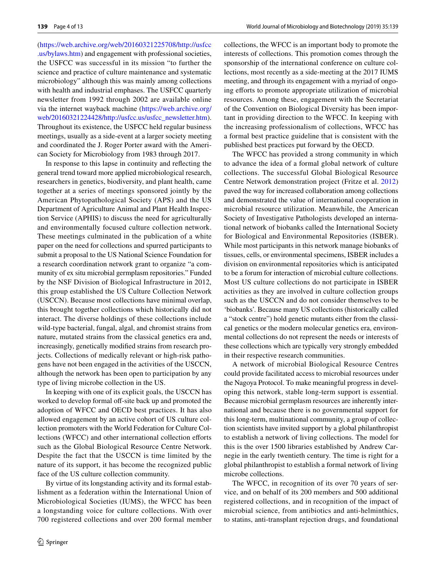World Journal of Microbiology and Biotechnology (2019) 35:139

[\(https://web.archive.org/web/20160321225708/http://usfcc](https://web.archive.org/web/20160321225708/http://usfcc.us/bylaws.htm) [.us/bylaws.htm](https://web.archive.org/web/20160321225708/http://usfcc.us/bylaws.htm)) and engagement with professional societies, the USFCC was successful in its mission "to further the science and practice of culture maintenance and systematic microbiology" although this was mainly among collections with health and industrial emphases. The USFCC quarterly newsletter from 1992 through 2002 are available online via the internet wayback machine ([https://web.archive.org/](https://web.archive.org/web/20160321224428/http://usfcc.us/usfcc_newsletter.htm) [web/20160321224428/http://usfcc.us/usfcc\\_newsletter.htm](https://web.archive.org/web/20160321224428/http://usfcc.us/usfcc_newsletter.htm)). Throughout its existence, the USFCC held regular business meetings, usually as a side-event at a larger society meeting and coordinated the J. Roger Porter award with the American Society for Microbiology from 1983 through 2017.

In response to this lapse in continuity and refecting the general trend toward more applied microbiological research, researchers in genetics, biodiversity, and plant health, came together at a series of meetings sponsored jointly by the American Phytopathological Society (APS) and the US Department of Agriculture Animal and Plant Health Inspection Service (APHIS) to discuss the need for agriculturally and environmentally focused culture collection network. These meetings culminated in the publication of a white paper on the need for collections and spurred participants to submit a proposal to the US National Science Foundation for a research coordination network grant to organize "a community of ex situ microbial germplasm repositories." Funded by the NSF Division of Biological Infrastructure in 2012, this group established the US Culture Collection Network (USCCN). Because most collections have minimal overlap, this brought together collections which historically did not interact. The diverse holdings of these collections include wild-type bacterial, fungal, algal, and chromist strains from nature, mutated strains from the classical genetics era and, increasingly, genetically modifed strains from research projects. Collections of medically relevant or high-risk pathogens have not been engaged in the activities of the USCCN, although the network has been open to participation by any type of living microbe collection in the US.

In keeping with one of its explicit goals, the USCCN has worked to develop formal off-site back up and promoted the adoption of WFCC and OECD best practices. It has also allowed engagement by an active cohort of US culture collection promoters with the World Federation for Culture Collections (WFCC) and other international collection efforts such as the Global Biological Resource Centre Network. Despite the fact that the USCCN is time limited by the nature of its support, it has become the recognized public face of the US culture collection community.

By virtue of its longstanding activity and its formal establishment as a federation within the International Union of Microbiological Societies (IUMS), the WFCC has been a longstanding voice for culture collections. With over 700 registered collections and over 200 formal member collections, the WFCC is an important body to promote the interests of collections. This promotion comes through the sponsorship of the international conference on culture collections, most recently as a side-meeting at the 2017 IUMS meeting, and through its engagement with a myriad of ongoing efforts to promote appropriate utilization of microbial resources. Among these, engagement with the Secretariat of the Convention on Biological Diversity has been important in providing direction to the WFCC. In keeping with the increasing professionalism of collections, WFCC has a formal best practice guideline that is consistent with the published best practices put forward by the OECD.

The WFCC has provided a strong community in which to advance the idea of a formal global network of culture collections. The successful Global Biological Resource Centre Network demonstration project (Fritze et al. [2012](#page-11-1)) paved the way for increased collaboration among collections and demonstrated the value of international cooperation in microbial resource utilization. Meanwhile, the American Society of Investigative Pathologists developed an international network of biobanks called the International Society for Biological and Environmental Repositories (ISBER). While most participants in this network manage biobanks of tissues, cells, or environmental specimens, ISBER includes a division on environmental repositories which is anticipated to be a forum for interaction of microbial culture collections. Most US culture collections do not participate in ISBER activities as they are involved in culture collection groups such as the USCCN and do not consider themselves to be 'biobanks'. Because many US collections (historically called a "stock centre") hold genetic mutants either from the classical genetics or the modern molecular genetics era, environmental collections do not represent the needs or interests of these collections which are typically very strongly embedded in their respective research communities.

A network of microbial Biological Resource Centres could provide facilitated access to microbial resources under the Nagoya Protocol. To make meaningful progress in developing this network, stable long-term support is essential. Because microbial germplasm resources are inherently international and because there is no governmental support for this long-term, multinational community, a group of collection scientists have invited support by a global philanthropist to establish a network of living collections. The model for this is the over 1500 libraries established by Andrew Carnegie in the early twentieth century. The time is right for a global philanthropist to establish a formal network of living microbe collections.

The WFCC, in recognition of its over 70 years of service, and on behalf of its 200 members and 500 additional registered collections, and in recognition of the impact of microbial science, from antibiotics and anti-helminthics, to statins, anti-transplant rejection drugs, and foundational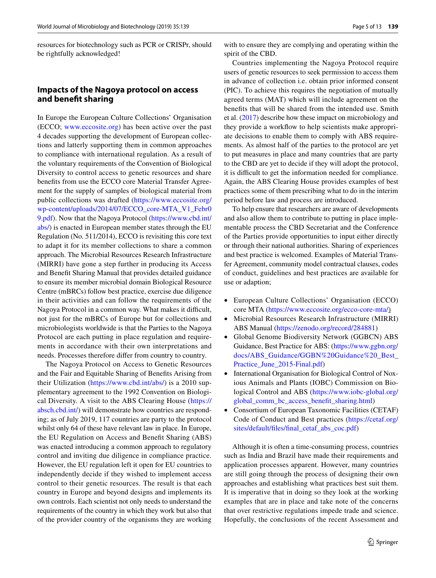resources for biotechnology such as PCR or CRISPr, should be rightfully acknowledged!

## **Impacts of the Nagoya protocol on access and beneft sharing**

In Europe the European Culture Collections' Organisation (ECCO; [www.eccosite.org\)](http://www.eccosite.org) has been active over the past 4 decades supporting the development of European collections and latterly supporting them in common approaches to compliance with international regulation. As a result of the voluntary requirements of the Convention of Biological Diversity to control access to genetic resources and share benefts from use the ECCO core Material Transfer Agreement for the supply of samples of biological material from public collections was drafted ([https://www.eccosite.org/](https://www.eccosite.org/wp-content/uploads/2014/07/ECCO_core-MTA_V1_Febr09.pdf) [wp-content/uploads/2014/07/ECCO\\_core-MTA\\_V1\\_Febr0](https://www.eccosite.org/wp-content/uploads/2014/07/ECCO_core-MTA_V1_Febr09.pdf) [9.pdf](https://www.eccosite.org/wp-content/uploads/2014/07/ECCO_core-MTA_V1_Febr09.pdf)). Now that the Nagoya Protocol ([https://www.cbd.int/](https://www.cbd.int/abs/) [abs/](https://www.cbd.int/abs/)) is enacted in European member states through the EU Regulation (No. 511/2014), ECCO is revisiting this core text to adapt it for its member collections to share a common approach. The Microbial Resources Research Infrastructure (MIRRI) have gone a step further in producing its Access and Beneft Sharing Manual that provides detailed guidance to ensure its member microbial domain Biological Resource Centre (mBRCs) follow best practice, exercise due diligence in their activities and can follow the requirements of the Nagoya Protocol in a common way. What makes it difficult, not just for the mBRCs of Europe but for collections and microbiologists worldwide is that the Parties to the Nagoya Protocol are each putting in place regulation and requirements in accordance with their own interpretations and needs. Processes therefore difer from country to country.

The Nagoya Protocol on Access to Genetic Resources and the Fair and Equitable Sharing of Benefts Arising from their Utilization (<https://www.cbd.int/abs/>) is a 2010 supplementary agreement to the 1992 Convention on Biological Diversity. A visit to the ABS Clearing House [\(https://](https://absch.cbd.int/) [absch.cbd.int/\)](https://absch.cbd.int/) will demonstrate how countries are responding; as of July 2019, 117 countries are party to the protocol whilst only 64 of these have relevant law in place. In Europe, the EU Regulation on Access and Beneft Sharing (ABS) was enacted introducing a common approach to regulatory control and inviting due diligence in compliance practice. However, the EU regulation left it open for EU countries to independently decide if they wished to implement access control to their genetic resources. The result is that each country in Europe and beyond designs and implements its own controls. Each scientist not only needs to understand the requirements of the country in which they work but also that of the provider country of the organisms they are working

with to ensure they are complying and operating within the spirit of the CBD.

Countries implementing the Nagoya Protocol require users of genetic resources to seek permission to access them in advance of collection i.e. obtain prior informed consent (PIC). To achieve this requires the negotiation of mutually agreed terms (MAT) which will include agreement on the benefts that will be shared from the intended use. Smith et al. ([2017](#page-11-2)) describe how these impact on microbiology and they provide a workflow to help scientists make appropriate decisions to enable them to comply with ABS requirements. As almost half of the parties to the protocol are yet to put measures in place and many countries that are party to the CBD are yet to decide if they will adopt the protocol, it is difficult to get the information needed for compliance. Again, the ABS Clearing House provides examples of best practices some of them prescribing what to do in the interim period before law and process are introduced.

To help ensure that researchers are aware of developments and also allow them to contribute to putting in place implementable process the CBD Secretariat and the Conference of the Parties provide opportunities to input either directly or through their national authorities. Sharing of experiences and best practice is welcomed. Examples of Material Transfer Agreement, community model contractual clauses, codes of conduct, guidelines and best practices are available for use or adaption;

- European Culture Collections' Organisation (ECCO) core MTA ([https://www.eccosite.org/ecco-core-mta/\)](https://www.eccosite.org/ecco-core-mta/)
- Microbial Resources Research Infrastructure (MIRRI) ABS Manual (<https://zenodo.org/record/284881>)
- Global Genome Biodiversity Network (GGBCN) ABS Guidance, Best Practice for ABS: ([https://www.ggbn.org/](https://www.ggbn.org/docs/ABS_Guidance/GGBN%20Guidance%20_Best_Practice_June_2015-Final.pdf) [docs/ABS\\_Guidance/GGBN%20Guidance%20\\_Best\\_](https://www.ggbn.org/docs/ABS_Guidance/GGBN%20Guidance%20_Best_Practice_June_2015-Final.pdf) [Practice\\_June\\_2015-Final.pdf\)](https://www.ggbn.org/docs/ABS_Guidance/GGBN%20Guidance%20_Best_Practice_June_2015-Final.pdf)
- International Organisation for Biological Control of Noxious Animals and Plants (IOBC) Commission on Biological Control and ABS ([https://www.iobc-global.org/](https://www.iobc-global.org/global_comm_bc_access_benefit_sharing.html) [global\\_comm\\_bc\\_access\\_benefit\\_sharing.html](https://www.iobc-global.org/global_comm_bc_access_benefit_sharing.html))
- Consortium of European Taxonomic Facilities (CETAF) Code of Conduct and Best practices ([https://cetaf.org/](https://cetaf.org/sites/default/files/final_cetaf_abs_coc.pdf) [sites/default/fles/fnal\\_cetaf\\_abs\\_coc.pdf\)](https://cetaf.org/sites/default/files/final_cetaf_abs_coc.pdf)

Although it is often a time-consuming process, countries such as India and Brazil have made their requirements and application processes apparent. However, many countries are still going through the process of designing their own approaches and establishing what practices best suit them. It is imperative that in doing so they look at the working examples that are in place and take note of the concerns that over restrictive regulations impede trade and science. Hopefully, the conclusions of the recent Assessment and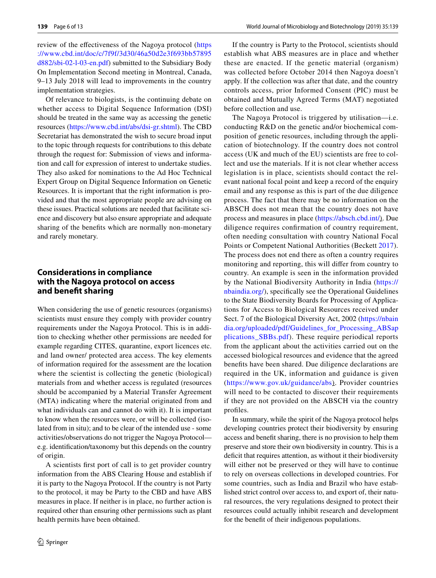World Journal of Microbiology and Biotechnology (2019) 35:139

review of the efectiveness of the Nagoya protocol ([https](https://www.cbd.int/doc/c/7f9f/3d30/46a50d2e3f693bb57895d882/sbi-02-l-03-en.pdf) [://www.cbd.int/doc/c/7f9f/3d30/46a50d2e3f693bb57895](https://www.cbd.int/doc/c/7f9f/3d30/46a50d2e3f693bb57895d882/sbi-02-l-03-en.pdf) [d882/sbi-02-l-03-en.pdf\)](https://www.cbd.int/doc/c/7f9f/3d30/46a50d2e3f693bb57895d882/sbi-02-l-03-en.pdf) submitted to the Subsidiary Body On Implementation Second meeting in Montreal, Canada, 9–13 July 2018 will lead to improvements in the country implementation strategies.

Of relevance to biologists, is the continuing debate on whether access to Digital Sequence Information (DSI) should be treated in the same way as accessing the genetic resources (<https://www.cbd.int/abs/dsi-gr.shtml>). The CBD Secretariat has demonstrated the wish to secure broad input to the topic through requests for contributions to this debate through the request for: Submission of views and information and call for expression of interest to undertake studies. They also asked for nominations to the Ad Hoc Technical Expert Group on Digital Sequence Information on Genetic Resources. It is important that the right information is provided and that the most appropriate people are advising on these issues. Practical solutions are needed that facilitate science and discovery but also ensure appropriate and adequate sharing of the benefts which are normally non-monetary and rarely monetary.

## **Considerations in compliance with the Nagoya protocol on access and beneft sharing**

When considering the use of genetic resources (organisms) scientists must ensure they comply with provider country requirements under the Nagoya Protocol. This is in addition to checking whether other permissions are needed for example regarding CITES, quarantine, export licences etc. and land owner/ protected area access. The key elements of information required for the assessment are the location where the scientist is collecting the genetic (biological) materials from and whether access is regulated (resources should be accompanied by a Material Transfer Agreement (MTA) indicating where the material originated from and what individuals can and cannot do with it). It is important to know when the resources were, or will be collected (isolated from in situ); and to be clear of the intended use - some activities/observations do not trigger the Nagoya Protocol e.g. identifcation/taxonomy but this depends on the country of origin.

A scientists frst port of call is to get provider country information from the ABS Clearing House and establish if it is party to the Nagoya Protocol. If the country is not Party to the protocol, it may be Party to the CBD and have ABS measures in place. If neither is in place, no further action is required other than ensuring other permissions such as plant health permits have been obtained.

If the country is Party to the Protocol, scientists should establish what ABS measures are in place and whether these are enacted. If the genetic material (organism) was collected before October 2014 then Nagoya doesn't apply. If the collection was after that date, and the country controls access, prior Informed Consent (PIC) must be obtained and Mutually Agreed Terms (MAT) negotiated before collection and use.

The Nagoya Protocol is triggered by utilisation—i.e. conducting R&D on the genetic and/or biochemical composition of genetic resources, including through the application of biotechnology. If the country does not control access (UK and much of the EU) scientists are free to collect and use the materials. If it is not clear whether access legislation is in place, scientists should contact the relevant national focal point and keep a record of the enquiry email and any response as this is part of the due diligence process. The fact that there may be no information on the ABSCH does not mean that the country does not have process and measures in place ([https://absch.cbd.int/\)](https://absch.cbd.int/). Due diligence requires confrmation of country requirement, often needing consultation with country National Focal Points or Competent National Authorities (Beckett [2017](#page-10-0)). The process does not end there as often a country requires monitoring and reporting, this will difer from country to country. An example is seen in the information provided by the National Biodiversity Authority in India ([https://](https://nbaindia.org/) [nbaindia.org/\)](https://nbaindia.org/), specifcally see the Operational Guidelines to the State Biodiversity Boards for Processing of Applications for Access to Biological Resources received under Sect. 7 of the Biological Diversity Act, 2002 ([https://nbain](https://nbaindia.org/uploaded/pdf/Guidelines_for_Processing_ABSapplications_SBBs.pdf) [dia.org/uploaded/pdf/Guidelines\\_for\\_Processing\\_ABSap](https://nbaindia.org/uploaded/pdf/Guidelines_for_Processing_ABSapplications_SBBs.pdf) [plications\\_SBBs.pdf\)](https://nbaindia.org/uploaded/pdf/Guidelines_for_Processing_ABSapplications_SBBs.pdf). These require periodical reports from the applicant about the activities carried out on the accessed biological resources and evidence that the agreed benefts have been shared. Due diligence declarations are required in the UK, information and guidance is given ([https://www.gov.uk/guidance/abs\)](https://www.gov.uk/guidance/abs). Provider countries will need to be contacted to discover their requirements if they are not provided on the ABSCH via the country profles.

In summary, while the spirit of the Nagoya protocol helps developing countries protect their biodiversity by ensuring access and beneft sharing, there is no provision to help them preserve and store their own biodiversity in country. This is a deficit that requires attention, as without it their biodiversity will either not be preserved or they will have to continue to rely on overseas collections in developed countries. For some countries, such as India and Brazil who have established strict control over access to, and export of, their natural resources, the very regulations designed to protect their resources could actually inhibit research and development for the beneft of their indigenous populations.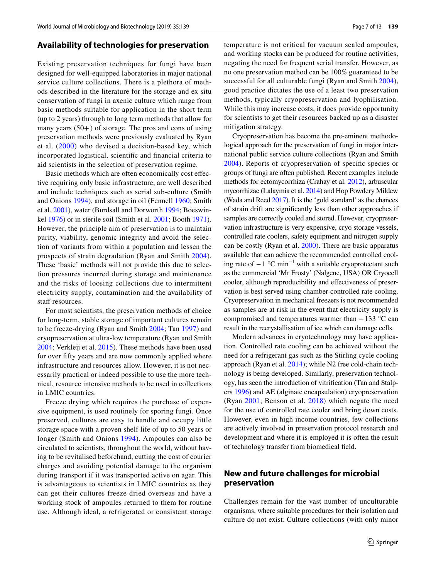#### **Availability of technologies for preservation**

Existing preservation techniques for fungi have been designed for well-equipped laboratories in major national service culture collections. There is a plethora of methods described in the literature for the storage and ex situ conservation of fungi in axenic culture which range from basic methods suitable for application in the short term (up to 2 years) through to long term methods that allow for many years  $(50+)$  of storage. The pros and cons of using preservation methods were previously evaluated by Ryan et al. ([2000\)](#page-11-3) who devised a decision-based key, which incorporated logistical, scientifc and fnancial criteria to aid scientists in the selection of preservation regime.

Basic methods which are often economically cost efective requiring only basic infrastructure, are well described and include techniques such as serial sub-culture (Smith and Onions [1994\)](#page-11-4), and storage in oil (Fennell [1960](#page-11-5); Smith et al. [2001](#page-11-6)), water (Burdsall and Dorworth [1994](#page-11-7); Boeswinkel [1976](#page-10-1)) or in sterile soil (Smith et al. [2001](#page-11-6); Booth [1971](#page-10-2)). However, the principle aim of preservation is to maintain purity, viability, genomic integrity and avoid the selection of variants from within a population and lessen the prospects of strain degradation (Ryan and Smith [2004](#page-11-8)). These 'basic' methods will not provide this due to selection pressures incurred during storage and maintenance and the risks of loosing collections due to intermittent electricity supply, contamination and the availability of staff resources.

For most scientists, the preservation methods of choice for long-term, stable storage of important cultures remain to be freeze-drying (Ryan and Smith [2004](#page-11-8); Tan [1997](#page-12-0)) and cryopreservation at ultra-low temperature (Ryan and Smith [2004;](#page-11-8) Verkleij et al. [2015\)](#page-12-1). These methods have been used for over ffty years and are now commonly applied where infrastructure and resources allow. However, it is not necessarily practical or indeed possible to use the more technical, resource intensive methods to be used in collections in LMIC countries.

Freeze drying which requires the purchase of expensive equipment, is used routinely for sporing fungi. Once preserved, cultures are easy to handle and occupy little storage space with a proven shelf life of up to 50 years or longer (Smith and Onions [1994\)](#page-11-4). Ampoules can also be circulated to scientists, throughout the world, without having to be revitalised beforehand, cutting the cost of courier charges and avoiding potential damage to the organism during transport if it was transported active on agar. This is advantageous to scientists in LMIC countries as they can get their cultures freeze dried overseas and have a working stock of ampoules returned to them for routine use. Although ideal, a refrigerated or consistent storage temperature is not critical for vacuum sealed ampoules, and working stocks can be produced for routine activities, negating the need for frequent serial transfer. However, as no one preservation method can be 100% guaranteed to be successful for all culturable fungi (Ryan and Smith [2004](#page-11-8)), good practice dictates the use of a least two preservation methods, typically cryopreservation and lyophilisation. While this may increase costs, it does provide opportunity for scientists to get their resources backed up as a disaster mitigation strategy.

Cryopreservation has become the pre-eminent methodological approach for the preservation of fungi in major international public service culture collections (Ryan and Smith [2004\)](#page-11-8). Reports of cryopreservation of specifc species or groups of fungi are often published. Recent examples include methods for ectomycorrhiza (Crahay et al. [2012](#page-11-9)), arbuscular mycorrhizae (Lalaymia et al. [2014\)](#page-11-10) and Hop Powdery Mildew (Wada and Reed [2017\)](#page-12-2). It is the 'gold standard' as the chances of strain drift are signifcantly less than other approaches if samples are correctly cooled and stored. However, cryopreservation infrastructure is very expensive, cryo storage vessels, controlled rate coolers, safety equipment and nitrogen supply can be costly (Ryan et al. [2000\)](#page-11-3). There are basic apparatus available that can achieve the recommended controlled cooling rate of  $-1$  °C min<sup>-1</sup> with a suitable cryoprotectant such as the commercial 'Mr Frosty' (Nalgene, USA) OR Cryocell cooler, although reproducibility and efectiveness of preservation is best served using chamber-controlled rate cooling. Cryopreservation in mechanical freezers is not recommended as samples are at risk in the event that electricity supply is compromised and temperatures warmer than −133 °C can result in the recrystallisation of ice which can damage cells.

Modern advances in cryotechnology may have application. Controlled rate cooling can be achieved without the need for a refrigerant gas such as the Stirling cycle cooling approach (Ryan et al. [2014\)](#page-11-11); while N2 free cold-chain technology is being developed. Similarly, preservation technology, has seen the introduction of vitrifcation (Tan and Stalpers [1996](#page-12-0)) and AE (alginate encapsulation) cryopreservation (Ryan [2001](#page-11-12); Benson et al. [2018](#page-10-3)) which negate the need for the use of controlled rate cooler and bring down costs. However, even in high income countries, few collections are actively involved in preservation protocol research and development and where it is employed it is often the result of technology transfer from biomedical feld.

#### **New and future challenges for microbial preservation**

Challenges remain for the vast number of unculturable organisms, where suitable procedures for their isolation and culture do not exist. Culture collections (with only minor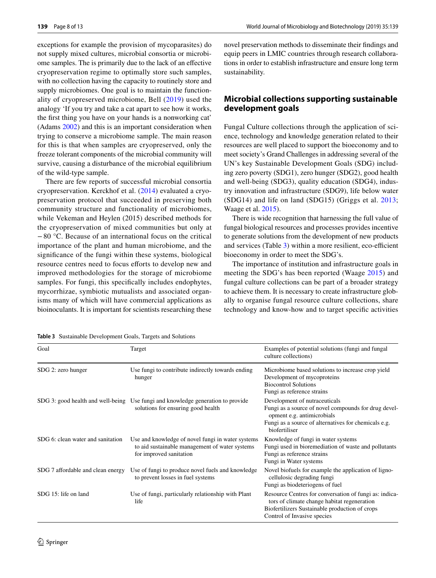exceptions for example the provision of mycoparasites) do not supply mixed cultures, microbial consortia or microbiome samples. The is primarily due to the lack of an efective cryopreservation regime to optimally store such samples, with no collection having the capacity to routinely store and supply microbiomes. One goal is to maintain the functionality of cryopreserved microbiome, Bell ([2019\)](#page-10-4) used the analogy 'If you try and take a cat apart to see how it works, the frst thing you have on your hands is a nonworking cat' (Adams [2002\)](#page-10-5) and this is an important consideration when trying to conserve a microbiome sample. The main reason for this is that when samples are cryopreserved, only the freeze tolerant components of the microbial community will survive, causing a disturbance of the microbial equilibrium of the wild-type sample.

There are few reports of successful microbial consortia cryopreservation. Kerckhof et al. [\(2014\)](#page-11-13) evaluated a cryopreservation protocol that succeeded in preserving both community structure and functionality of microbiomes, while Vekeman and Heylen (2015) described methods for the cryopreservation of mixed communities but only at −80 °C. Because of an international focus on the critical importance of the plant and human microbiome, and the signifcance of the fungi within these systems, biological resource centres need to focus eforts to develop new and improved methodologies for the storage of microbiome samples. For fungi, this specifcally includes endophytes, mycorrhizae, symbiotic mutualists and associated organisms many of which will have commercial applications as bioinoculants. It is important for scientists researching these novel preservation methods to disseminate their fndings and equip peers in LMIC countries through research collaborations in order to establish infrastructure and ensure long term sustainability.

# **Microbial collections supporting sustainable development goals**

Fungal Culture collections through the application of science, technology and knowledge generation related to their resources are well placed to support the bioeconomy and to meet society's Grand Challenges in addressing several of the UN's key Sustainable Development Goals (SDG) including zero poverty (SDG1), zero hunger (SDG2), good health and well-being (SDG3), quality education (SDG4), industry innovation and infrastructure (SDG9), life below water (SDG14) and life on land (SDG15) (Griggs et al. [2013](#page-11-14); Waage et al. [2015\)](#page-12-3).

There is wide recognition that harnessing the full value of fungal biological resources and processes provides incentive to generate solutions from the development of new products and services (Table  $3$ ) within a more resilient, eco-efficient bioeconomy in order to meet the SDG's.

The importance of institution and infrastructure goals in meeting the SDG's has been reported (Waage [2015\)](#page-12-3) and fungal culture collections can be part of a broader strategy to achieve them. It is necessary to create infrastructure globally to organise fungal resource culture collections, share technology and know-how and to target specifc activities

<span id="page-7-0"></span>**Table 3** Sustainable Development Goals, Targets and Solutions

| Goal                              | Target                                                                                                                         | Examples of potential solutions (fungi and fungal<br>culture collections)                                                                                                                    |
|-----------------------------------|--------------------------------------------------------------------------------------------------------------------------------|----------------------------------------------------------------------------------------------------------------------------------------------------------------------------------------------|
| SDG 2: zero hunger                | Use fungi to contribute indirectly towards ending<br>hunger                                                                    | Microbiome based solutions to increase crop yield<br>Development of mycoproteins<br><b>Biocontrol Solutions</b><br>Fungi as reference strains                                                |
|                                   | SDG 3: good health and well-being Use fungi and knowledge generation to provide<br>solutions for ensuring good health.         | Development of nutraceuticals<br>Fungi as a source of novel compounds for drug devel-<br>opment e.g. antimicrobials<br>Fungi as a source of alternatives for chemicals e.g.<br>biofertiliser |
| SDG 6: clean water and sanitation | Use and knowledge of novel fungi in water systems<br>to aid sustainable management of water systems<br>for improved sanitation | Knowledge of fungi in water systems<br>Fungi used in bioremediation of waste and pollutants<br>Fungi as reference strains<br>Fungi in Water systems                                          |
| SDG 7 affordable and clean energy | Use of fungi to produce novel fuels and knowledge<br>to prevent losses in fuel systems                                         | Novel biofuels for example the application of ligno-<br>cellulosic degrading fungi<br>Fungi as biodeteriogens of fuel                                                                        |
| SDG 15: life on land              | Use of fungi, particularly relationship with Plant<br>life                                                                     | Resource Centres for conversation of fungi as: indica-<br>tors of climate change habitat regeneration<br>Biofertilizers Sustainable production of crops<br>Control of Invasive species       |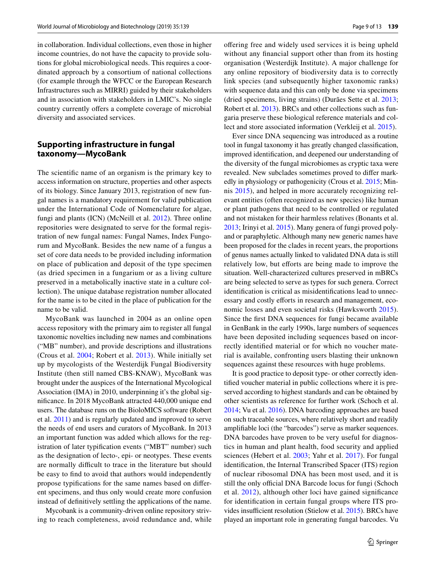in collaboration. Individual collections, even those in higher income countries, do not have the capacity to provide solutions for global microbiological needs. This requires a coordinated approach by a consortium of national collections (for example through the WFCC or the European Research Infrastructures such as MIRRI) guided by their stakeholders and in association with stakeholders in LMIC's. No single country currently offers a complete coverage of microbial diversity and associated services.

#### **Supporting infrastructure in fungal taxonomy—MycoBank**

The scientifc name of an organism is the primary key to access information on structure, properties and other aspects of its biology. Since January 2013, registration of new fungal names is a mandatory requirement for valid publication under the International Code of Nomenclature for algae, fungi and plants (ICN) (McNeill et al. [2012\)](#page-11-15). Three online repositories were designated to serve for the formal registration of new fungal names: Fungal Names, Index Fungorum and MycoBank. Besides the new name of a fungus a set of core data needs to be provided including information on place of publication and deposit of the type specimen (as dried specimen in a fungarium or as a living culture preserved in a metabolically inactive state in a culture collection). The unique database registration number allocated for the name is to be cited in the place of publication for the name to be valid.

MycoBank was launched in 2004 as an online open access repository with the primary aim to register all fungal taxonomic novelties including new names and combinations ("MB" number), and provide descriptions and illustrations (Crous et al. [2004;](#page-11-16) Robert et al. [2013](#page-11-17)). While initially set up by mycologists of the Westerdijk Fungal Biodiversity Institute (then still named CBS-KNAW), MycoBank was brought under the auspices of the International Mycological Association (IMA) in 2010, underpinning it's the global signifcance. In 2018 MycoBank attracted 440,000 unique end users. The database runs on the BioloMICS software (Robert et al. [2011\)](#page-11-18) and is regularly updated and improved to serve the needs of end users and curators of MycoBank. In 2013 an important function was added which allows for the registration of later typifcation events ("MBT" number) such as the designation of lecto-, epi- or neotypes. These events are normally difficult to trace in the literature but should be easy to fnd to avoid that authors would independently propose typifcations for the same names based on diferent specimens, and thus only would create more confusion instead of defnitively settling the applications of the name.

Mycobank is a community-driven online repository striving to reach completeness, avoid redundance and, while ofering free and widely used services it is being upheld without any fnancial support other than from its hosting organisation (Westerdijk Institute). A major challenge for any online repository of biodiversity data is to correctly link species (and subsequently higher taxonomic ranks) with sequence data and this can only be done via specimens (dried specimens, living strains) (Durães Sette et al. [2013](#page-11-19); Robert et al. [2013](#page-11-17)). BRCs and other collections such as fungaria preserve these biological reference materials and collect and store associated information (Verkleij et al. [2015](#page-12-1)).

Ever since DNA sequencing was introduced as a routine tool in fungal taxonomy it has greatly changed classifcation, improved identifcation, and deepened our understanding of the diversity of the fungal microbiomes as cryptic taxa were revealed. New subclades sometimes proved to difer markedly in physiology or pathogenicity (Crous et al. [2015](#page-11-20); Minnis [2015\)](#page-11-21), and helped in more accurately recognizing relevant entities (often recognized as new species) like human or plant pathogens that need to be controlled or regulated and not mistaken for their harmless relatives (Bonants et al. [2013](#page-10-6); Irinyi et al. [2015](#page-11-22)). Many genera of fungi proved polyand or paraphyletic. Although many new generic names have been proposed for the clades in recent years, the proportions of genus names actually linked to validated DNA data is still relatively low, but efforts are being made to improve the situation. Well-characterized cultures preserved in mBRCs are being selected to serve as types for such genera. Correct identifcation is critical as misidentifcations lead to unnecessary and costly efforts in research and management, economic losses and even societal risks (Hawksworth [2015](#page-11-23)). Since the frst DNA sequences for fungi became available in GenBank in the early 1990s, large numbers of sequences have been deposited including sequences based on incorrectly identifed material or for which no voucher material is available, confronting users blasting their unknown sequences against these resources with huge problems.

It is good practice to deposit type- or other correctly identifed voucher material in public collections where it is preserved according to highest standards and can be obtained by other scientists as reference for further work (Schoch et al. [2014](#page-11-24); Vu et al. [2016](#page-12-4)). DNA barcoding approaches are based on such traceable sources, where relatively short and readily amplifable loci (the "barcodes") serve as marker sequences. DNA barcodes have proven to be very useful for diagnostics in human and plant health, food security and applied sciences (Hebert et al. [2003;](#page-11-25) Yahr et al. [2017](#page-12-5)). For fungal identifcation, the Internal Transcribed Spacer (ITS) region of nuclear ribosomal DNA has been most used, and it is still the only official DNA Barcode locus for fungi (Schoch et al. [2012\)](#page-11-26), although other loci have gained signifcance for identifcation in certain fungal groups where ITS provides insufficient resolution (Stielow et al.  $2015$ ). BRCs have played an important role in generating fungal barcodes. Vu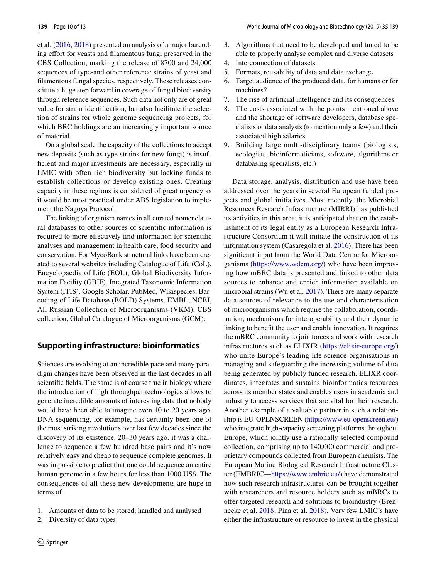et al. [\(2016](#page-12-4), [2018\)](#page-12-6) presented an analysis of a major barcoding effort for yeasts and filamentous fungi preserved in the CBS Collection, marking the release of 8700 and 24,000 sequences of type-and other reference strains of yeast and flamentous fungal species, respectively. These releases constitute a huge step forward in coverage of fungal biodiversity through reference sequences. Such data not only are of great value for strain identifcation, but also facilitate the selection of strains for whole genome sequencing projects, for which BRC holdings are an increasingly important source of material.

On a global scale the capacity of the collections to accept new deposits (such as type strains for new fungi) is insuffcient and major investments are necessary, especially in LMIC with often rich biodiversity but lacking funds to establish collections or develop existing ones. Creating capacity in these regions is considered of great urgency as it would be most practical under ABS legislation to implement the Nagoya Protocol.

The linking of organism names in all curated nomenclatural databases to other sources of scientifc information is required to more efectively fnd information for scientifc analyses and management in health care, food security and conservation. For MycoBank structural links have been created to several websites including Catalogue of Life (CoL), Encyclopaedia of Life (EOL), Global Biodiversity Information Facility (GBIF), Integrated Taxonomic Information System (ITIS), Google Scholar, PubMed, Wikispecies, Barcoding of Life Database (BOLD) Systems, EMBL, NCBI, All Russian Collection of Microorganisms (VKM), CBS collection, Global Catalogue of Microorganisms (GCM).

# **Supporting infrastructure: bioinformatics**

Sciences are evolving at an incredible pace and many paradigm changes have been observed in the last decades in all scientifc felds. The same is of course true in biology where the introduction of high throughput technologies allows to generate incredible amounts of interesting data that nobody would have been able to imagine even 10 to 20 years ago. DNA sequencing, for example, has certainly been one of the most striking revolutions over last few decades since the discovery of its existence. 20–30 years ago, it was a challenge to sequence a few hundred base pairs and it's now relatively easy and cheap to sequence complete genomes. It was impossible to predict that one could sequence an entire human genome in a few hours for less than 1000 US\$. The consequences of all these new developments are huge in terms of:

- 1. Amounts of data to be stored, handled and analysed
- 2. Diversity of data types
- 3. Algorithms that need to be developed and tuned to be able to properly analyse complex and diverse datasets
- 4. Interconnection of datasets
- 5. Formats, reusability of data and data exchange
- 6. Target audience of the produced data, for humans or for machines?
- 7. The rise of artifcial intelligence and its consequences
- 8. The costs associated with the points mentioned above and the shortage of software developers, database specialists or data analysts (to mention only a few) and their associated high salaries
- 9. Building large multi-disciplinary teams (biologists, ecologists, bioinformaticians, software, algorithms or databasing specialists, etc.)

Data storage, analysis, distribution and use have been addressed over the years in several European funded projects and global initiatives. Most recently, the Microbial Resources Research Infrastructure (MIRRI) has published its activities in this area; it is anticipated that on the establishment of its legal entity as a European Research Infrastructure Consortium it will initiate the construction of its information system (Casaregola et al. [2016](#page-11-28)). There has been signifcant input from the World Data Centre for Microorganisms ([https://www.wdcm.org/\)](https://www.wdcm.org/) who have been improving how mBRC data is presented and linked to other data sources to enhance and enrich information available on microbial strains (Wu et al. [2017\)](#page-12-7). There are many separate data sources of relevance to the use and characterisation of microorganisms which require the collaboration, coordination, mechanisms for interoperability and their dynamic linking to beneft the user and enable innovation. It requires the mBRC community to join forces and work with research infrastructures such as ELIXIR (<https://elixir-europe.org/>) who unite Europe's leading life science organisations in managing and safeguarding the increasing volume of data being generated by publicly funded research. ELIXR coordinates, integrates and sustains bioinformatics resources across its member states and enables users in academia and industry to access services that are vital for their research. Another example of a valuable partner in such a relationship is EU-OPENSCREEN [\(https://www.eu-openscreen.eu/\)](https://www.eu-openscreen.eu/) who integrate high-capacity screening platforms throughout Europe, which jointly use a rationally selected compound collection, comprising up to 140,000 commercial and proprietary compounds collected from European chemists. The European Marine Biological Research Infrastructure Cluster (EMBRIC—<https://www.embric.eu/>) have demonstrated how such research infrastructures can be brought together with researchers and resource holders such as mBRCs to offer targeted research and solutions to bioindustry (Brennecke et al. [2018](#page-10-7); Pina et al. [2018](#page-11-29)). Very few LMIC's have either the infrastructure or resource to invest in the physical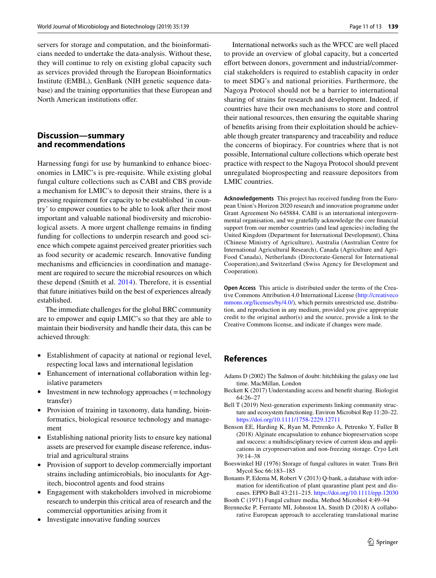servers for storage and computation, and the bioinformaticians needed to undertake the data-analysis. Without these, they will continue to rely on existing global capacity such as services provided through the European Bioinformatics Institute (EMBL), GenBank (NIH genetic sequence database) and the training opportunities that these European and North American institutions offer.

## **Discussion—summary and recommendations**

Harnessing fungi for use by humankind to enhance bioeconomies in LMIC's is pre-requisite. While existing global fungal culture collections such as CABI and CBS provide a mechanism for LMIC's to deposit their strains, there is a pressing requirement for capacity to be established 'in country' to empower counties to be able to look after their most important and valuable national biodiversity and microbiological assets. A more urgent challenge remains in fnding funding for collections to underpin research and good science which compete against perceived greater priorities such as food security or academic research. Innovative funding mechanisms and efficiencies in coordination and management are required to secure the microbial resources on which these depend (Smith et al. [2014](#page-11-30)). Therefore, it is essential that future initiatives build on the best of experiences already established.

The immediate challenges for the global BRC community are to empower and equip LMIC's so that they are able to maintain their biodiversity and handle their data, this can be achieved through:

- Establishment of capacity at national or regional level, respecting local laws and international legislation
- Enhancement of international collaboration within legislative parameters
- Investment in new technology approaches (=technology transfer)
- Provision of training in taxonomy, data handing, bioinformatics, biological resource technology and management
- Establishing national priority lists to ensure key national assets are preserved for example disease reference, industrial and agricultural strains
- Provision of support to develop commercially important strains including antimicrobials, bio inoculants for Agritech, biocontrol agents and food strains
- Engagement with stakeholders involved in microbiome research to underpin this critical area of research and the commercial opportunities arising from it
- Investigate innovative funding sources

International networks such as the WFCC are well placed to provide an overview of global capacity, but a concerted effort between donors, government and industrial/commercial stakeholders is required to establish capacity in order to meet SDG's and national priorities. Furthermore, the Nagoya Protocol should not be a barrier to international sharing of strains for research and development. Indeed, if countries have their own mechanisms to store and control their national resources, then ensuring the equitable sharing of benefts arising from their exploitation should be achievable though greater transparency and traceability and reduce the concerns of biopiracy. For countries where that is not possible, International culture collections which operate best practice with respect to the Nagoya Protocol should prevent unregulated bioprospecting and reassure depositors from LMIC countries.

**Acknowledgements** This project has received funding from the European Union's Horizon 2020 research and innovation programme under Grant Agreement No 645884. CABI is an international intergovernmental organisation, and we gratefully acknowledge the core fnancial support from our member countries (and lead agencies) including the United Kingdom (Department for International Development), China (Chinese Ministry of Agriculture), Australia (Australian Centre for International Agricultural Research), Canada (Agriculture and Agri-Food Canada), Netherlands (Directorate-General for International Cooperation),and Switzerland (Swiss Agency for Development and Cooperation).

**Open Access** This article is distributed under the terms of the Creative Commons Attribution 4.0 International License ([http://creativeco](http://creativecommons.org/licenses/by/4.0/) [mmons.org/licenses/by/4.0/](http://creativecommons.org/licenses/by/4.0/)), which permits unrestricted use, distribution, and reproduction in any medium, provided you give appropriate credit to the original author(s) and the source, provide a link to the Creative Commons license, and indicate if changes were made.

# **References**

- <span id="page-10-5"></span>Adams D (2002) The Salmon of doubt: hitchhiking the galaxy one last time. MacMillan, London
- <span id="page-10-0"></span>Beckett K (2017) Understanding access and beneft sharing. Biologist 64:26–27
- <span id="page-10-4"></span>Bell T (2019) Next-generation experiments linking community structure and ecosystem functioning. Environ Microbiol Rep 11:20–22. <https://doi.org/10.1111/1758-2229.12711>
- <span id="page-10-3"></span>Benson EE, Harding K, Ryan M, Petrenko A, Petrenko Y, Fuller B (2018) Alginate encapsulation to enhance biopreservation scope and success: a multidisciplinary review of current ideas and applications in cryopreservation and non-freezing storage. Cryo Lett 39:14–38
- <span id="page-10-1"></span>Boeswinkel HJ (1976) Storage of fungal cultures in water. Trans Brit Mycol Soc 66:183–185
- <span id="page-10-6"></span>Bonants P, Edema M, Robert V (2013) Q-bank, a database with information for identifcation of plant quarantine plant pest and diseases. EPPO Bull 43:211–215.<https://doi.org/10.1111/epp.12030>
- <span id="page-10-2"></span>Booth C (1971) Fungal culture media. Method Microbiol 4:49–94
- <span id="page-10-7"></span>Brennecke P, Ferrante MI, Johnston IA, Smith D (2018) A collaborative European approach to accelerating translational marine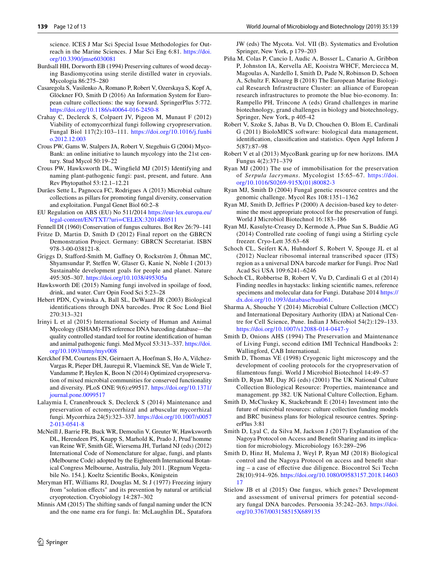World Journal of Microbiology and Biotechnology (2019) 35:139

science. ICES J Mar Sci Special Issue Methodologies for Outreach in the Marine Sciences. J Mar Sci Eng 6:81. [https://doi.](https://doi.org/10.3390/jmse6030081) [org/10.3390/jmse6030081](https://doi.org/10.3390/jmse6030081)

- <span id="page-11-7"></span>Burdsall HH, Dorworth EB (1994) Preserving cultures of wood decaying Basdiomycotina using sterile distilled water in cryovials. Mycologia 86:275–280
- <span id="page-11-28"></span>Casaregola S, Vasilenko A, Romano P, Robert V, Ozerskaya S, Kopf A, Glöckner FO, Smith D (2016) An Information System for European culture collections: the way forward. SpringerPlus 5:772. <https://doi.org/10.1186/s40064-016-2450-8>
- <span id="page-11-9"></span>Crahay C, Declerck S, Colpaert JV, Pigeon M, Munaut F (2012) Viability of ectomycorrhizal fungi following cryopreservation. Fungal Biol 117(2):103–111. [https://doi.org/10.1016/j.funbi](https://doi.org/10.1016/j.funbio.2012.12.003) [o.2012.12.003](https://doi.org/10.1016/j.funbio.2012.12.003)
- <span id="page-11-16"></span>Crous PW, Gams W, Stalpers JA, Robert V, Stegehuis G (2004) Myco-Bank: an online initiative to launch mycology into the 21st century. Stud Mycol 50:19–22
- <span id="page-11-20"></span>Crous PW, Hawksworth DL, Wingfeld MJ (2015) Identifying and naming plant-pathogenic fungi: past, present, and future. Ann Rev Phytopathol 53:12.1–12.21
- <span id="page-11-19"></span>Durães Sette L, Pagnocca FC, Rodrigues A (2013) Microbial culture collections as pillars for promoting fungal diversity, conservation and exploitation. Fungal Genet Biol 60:2–8
- EU Regulation on ABS (EU) No 511/2014 [https://eur-lex.europa.eu/](https://eur-lex.europa.eu/legal-content/EN/TXT/?uri=CELEX:32014R0511) [legal-content/EN/TXT/?uri=CELEX:32014R0511](https://eur-lex.europa.eu/legal-content/EN/TXT/?uri=CELEX:32014R0511)
- <span id="page-11-5"></span>Fennell DI (1960) Conservation of fungus cultures. Bot Rev 26:79–141
- <span id="page-11-1"></span>Fritze D, Martin D, Smith D (2012) Final report on the GBRCN Demonstration Project. Germany: GBRCN Secretariat. ISBN 978-3-00-038121-8.
- <span id="page-11-14"></span>Griggs D, Staford-Smith M, Gafney O, Rockström J, Öhman MC, Shyamsundar P, Stefen W, Glaser G, Kanie N, Noble I (2013) Sustainable development goals for people and planet. Nature 495:305–307. <https://doi.org/10.1038/495305a>
- <span id="page-11-23"></span>Hawksworth DE (2015) Naming fungi involved in spoilage of food, drink, and water. Curr Opin Food Sci 5:23–28
- <span id="page-11-25"></span>Hebert PDN, Cywinska A, Ball SL, DeWaard JR (2003) Biological identifcations through DNA barcodes. Proc R Soc Lond Biol 270:313–321
- <span id="page-11-22"></span>Irinyi L et al (2015) International Society of Human and Animal Mycology (ISHAM)-ITS reference DNA barcoding database—the quality controlled standard tool for routine identifcation of human and animal pathogenic fungi. Med Mycol 53:313–337. [https://doi.](https://doi.org/10.1093/mmy/myv008) [org/10.1093/mmy/myv008](https://doi.org/10.1093/mmy/myv008)
- <span id="page-11-13"></span>Kerckhof FM, Courtens EN, Geirnaert A, Hoefman S, Ho A, Vilchez-Vargas R, Pieper DH, Jauregui R, Vlaeminck SE, Van de Wiele T, Vandamme P, Heylen K, Boon N (2014) Optimized cryopreservation of mixed microbial communities for conserved functionality and diversity. PLoS ONE 9(6):e99517. [https://doi.org/10.1371/](https://doi.org/10.1371/journal.pone.0099517) [journal.pone.0099517](https://doi.org/10.1371/journal.pone.0099517)
- <span id="page-11-10"></span>Lalaymia I, Cranenbrouck S, Declerck S (2014) Maintenance and preservation of ectomycorrhizal and arbuscular mycorrhizal fungi. Mycorrhiza 24(5):323–337. [https://doi.org/10.1007/s0057](https://doi.org/10.1007/s00572-013-0541-8) [2-013-0541-8](https://doi.org/10.1007/s00572-013-0541-8)
- <span id="page-11-15"></span>McNeill J, Barrie FR, Buck WR, Demoulin V, Greuter W, Hawksworth DL, Herendeen PS, Knapp S, Marhold K, Prado J, Prud'homme van Reine WF, Smith GE, Wiersema JH, Turland NJ (eds) (2012) International Code of Nomenclature for algae, fungi, and plants (Melbourne Code) adopted by the Eighteenth International Botanical Congress Melbourne, Australia, July 2011. [Regnum Vegetabile No. 154.]. Koeltz Scientifc Books, Königstein
- Meryman HT, Williams RJ, Douglas M, St J (1977) Freezing injury from "solution efects" and its prevention by natural or artifcial cryoprotection. Cryobiology 14:287–302
- <span id="page-11-21"></span>Minnis AM (2015) The shifting sands of fungal naming under the ICN and the one name era for fungi. In: McLaughlin DL, Spatafora

JW (eds) The Mycota. Vol. VII (B). Systematics and Evolution Springer, New York, p 179–203

- <span id="page-11-29"></span>Piña M, Colas P, Cancio I, Audic A, Bosser L, Canario A, Gribbon P, Johnston IA, Kervella AE, Kooistra WHCF, Merciecca M, Magoulas A, Nardello I, Smith D, Pade N, Robinson D, Schoen A, Schultz F, Kloareg B (2018) The European Marine Biological Research Infrastructure Cluster: an alliance of European research infrastructures to promote the blue bio-economy. In: Rampello PH, Trincone A (eds) Grand challenges in marine biotechnology, grand challenges in biology and biotechnology, Springer, New York, p 405-42
- <span id="page-11-18"></span>Robert V, Szoke S, Jabas B, Vu D, Chouchen O, Blom E, Cardinali G (2011) BioloMICS software: biological data management, identifcation, classifcation and statistics. Open Appl Inform J 5(87):87–98
- <span id="page-11-17"></span>Robert V et al (2013) MycoBank gearing up for new horizons. IMA Fungus 4(2):371–379
- <span id="page-11-12"></span>Ryan MJ (2001) The use of immobilisation for the preservation of *Serpula lacrymans*. Mycologist 15:65–67. [https://doi.](https://doi.org/10.1016/S0269-915X(01)80082-3) [org/10.1016/S0269-915X\(01\)80082-3](https://doi.org/10.1016/S0269-915X(01)80082-3)
- <span id="page-11-8"></span>Ryan MJ, Smith D (2004) Fungal genetic resource centres and the genomic challenge. Mycol Res 108:1351–1362
- <span id="page-11-3"></span>Ryan MJ, Smith D, Jefries P (2000) A decision-based key to determine the most appropriate protocol for the preservation of fungi. World J Microbiol Biotechnol 16:183–186
- <span id="page-11-11"></span>Ryan MJ, Kasulyte-Creasey D, Kermode A, Phue San S, Buddie AG (2014) Controlled rate cooling of fungi using a Stirling cycle freezer. Cryo-Lett 35:63–68
- <span id="page-11-26"></span>Schoch CL, Seifert KA, Huhndorf S, Robert V, Spouge JL et al (2012) Nuclear ribosomal internal transcribed spacer (ITS) region as a universal DNA barcode marker for Fungi. Proc Natl Acad Sci USA 109:6241–6246
- <span id="page-11-24"></span>Schoch CL, Robbertse B, Robert V, Vu D, Cardinali G et al (2014) Finding needles in haystacks: linking scientifc names, reference specimens and molecular data for Fungi. Database 2014 [https://](https://dx.doi.org/10.1093/database/bau061) [dx.doi.org/10.1093/database/bau061.](https://dx.doi.org/10.1093/database/bau061)
- <span id="page-11-0"></span>Sharma A, Shouche Y (2014) Microbial Culture Collection (MCC) and International Depositary Authority (IDA) at National Centre for Cell Science, Pune. Indian J Microbiol 54(2):129–133. <https://doi.org/10.1007/s12088-014-0447-y>
- <span id="page-11-4"></span>Smith D, Onions AHS (1994) The Preservation and Maintenance of Living Fungi, second edition IMI Technical Handbooks 2: Wallingford, CAB International.
- Smith D, Thomas VE (1998) Cryogenic light microscopy and the development of cooling protocols for the cryopreservation of flamentous fungi. World J Microbiol Biotechnol 14:49–57
- <span id="page-11-6"></span>Smith D, Ryan MJ, Day JG (eds) (2001) The UK National Culture Collection Biological Resource: Properties, maintenance and management. pp 382. UK National Culture Collection, Egham.
- <span id="page-11-30"></span>Smith D, McCluskey K, Stackebrandt E (2014) Investment into the future of microbial resources: culture collection funding models and BRC business plans for biological resource centres. SpringerPlus 3:81
- <span id="page-11-2"></span>Smith D, Lyal C, da Silva M, Jackson J (2017) Explanation of the Nagoya Protocol on Access and Beneft Sharing and its implication for microbiology. Microbiology 163:289–296
- Smith D, Hinz H, Mulema J, Weyl P, Ryan MJ (2018) Biological control and the Nagoya Protocol on access and beneft sharing – a case of efective due diligence. Biocontrol Sci Techn 28(10):914–926. [https://doi.org/10.1080/09583157.2018.14603](https://doi.org/10.1080/09583157.2018.1460317) [17](https://doi.org/10.1080/09583157.2018.1460317)
- <span id="page-11-27"></span>Stielow JB et al (2015) One fungus, which genes? Development and assessment of universal primers for potential secondary fungal DNA barcodes. Persoonia 35:242–263. [https://doi.](https://doi.org/10.3767/003158515X689135) [org/10.3767/003158515X689135](https://doi.org/10.3767/003158515X689135)